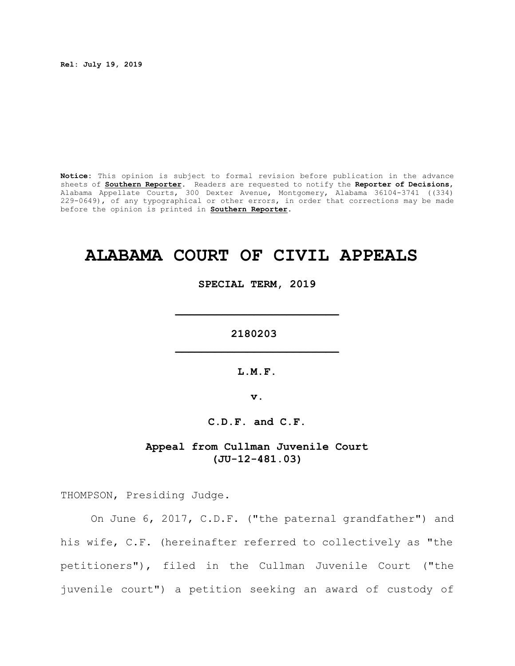**Rel: July 19, 2019**

**Notice:** This opinion is subject to formal revision before publication in the advance sheets of **Southern Reporter**. Readers are requested to notify the **Reporter of Decisions**, Alabama Appellate Courts, 300 Dexter Avenue, Montgomery, Alabama 36104-3741 ((334) 229-0649), of any typographical or other errors, in order that corrections may be made before the opinion is printed in **Southern Reporter**.

# **ALABAMA COURT OF CIVIL APPEALS**

**SPECIAL TERM, 2019**

**\_\_\_\_\_\_\_\_\_\_\_\_\_\_\_\_\_\_\_\_\_\_\_\_\_**

**2180203 \_\_\_\_\_\_\_\_\_\_\_\_\_\_\_\_\_\_\_\_\_\_\_\_\_**

**L.M.F.**

**v.**

**C.D.F. and C.F.**

# **Appeal from Cullman Juvenile Court (JU-12-481.03)**

THOMPSON, Presiding Judge.

On June 6, 2017, C.D.F. ("the paternal grandfather") and his wife, C.F. (hereinafter referred to collectively as "the petitioners"), filed in the Cullman Juvenile Court ("the juvenile court") a petition seeking an award of custody of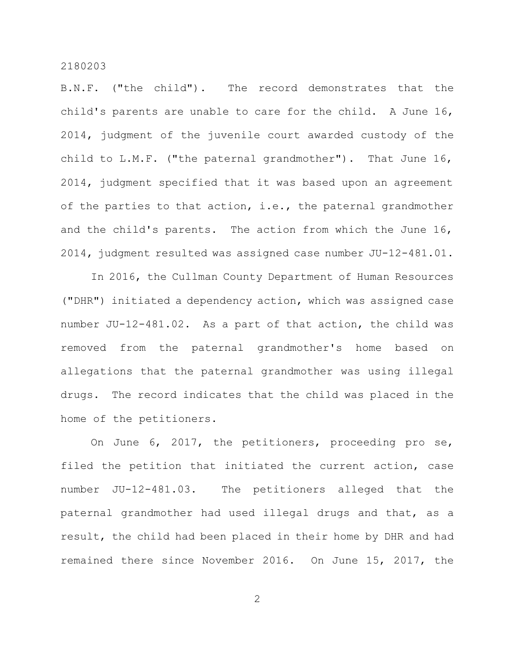B.N.F. ("the child"). The record demonstrates that the child's parents are unable to care for the child. A June 16, 2014, judgment of the juvenile court awarded custody of the child to L.M.F. ("the paternal grandmother"). That June 16, 2014, judgment specified that it was based upon an agreement of the parties to that action, i.e., the paternal grandmother and the child's parents. The action from which the June 16, 2014, judgment resulted was assigned case number JU-12-481.01.

In 2016, the Cullman County Department of Human Resources ("DHR") initiated a dependency action, which was assigned case number JU-12-481.02. As a part of that action, the child was removed from the paternal grandmother's home based on allegations that the paternal grandmother was using illegal drugs. The record indicates that the child was placed in the home of the petitioners.

On June 6, 2017, the petitioners, proceeding pro se, filed the petition that initiated the current action, case number JU-12-481.03. The petitioners alleged that the paternal grandmother had used illegal drugs and that, as a result, the child had been placed in their home by DHR and had remained there since November 2016. On June 15, 2017, the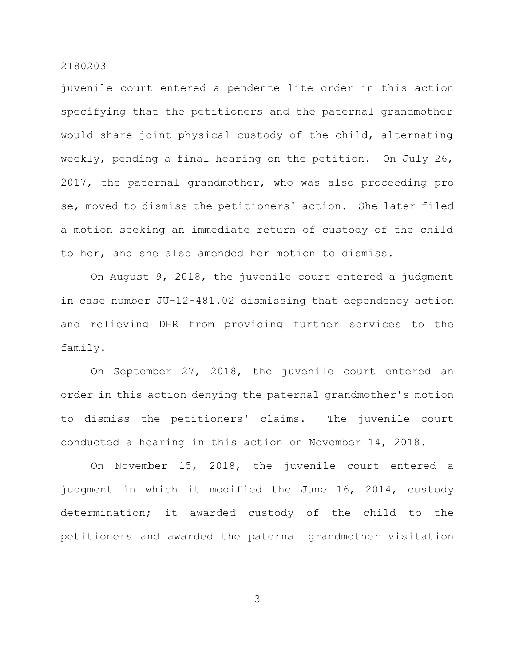juvenile court entered a pendente lite order in this action specifying that the petitioners and the paternal grandmother would share joint physical custody of the child, alternating weekly, pending a final hearing on the petition. On July 26, 2017, the paternal grandmother, who was also proceeding pro se, moved to dismiss the petitioners' action. She later filed a motion seeking an immediate return of custody of the child to her, and she also amended her motion to dismiss.

On August 9, 2018, the juvenile court entered a judgment in case number JU-12-481.02 dismissing that dependency action and relieving DHR from providing further services to the family.

On September 27, 2018, the juvenile court entered an order in this action denying the paternal grandmother's motion to dismiss the petitioners' claims. The juvenile court conducted a hearing in this action on November 14, 2018.

On November 15, 2018, the juvenile court entered a judgment in which it modified the June 16, 2014, custody determination; it awarded custody of the child to the petitioners and awarded the paternal grandmother visitation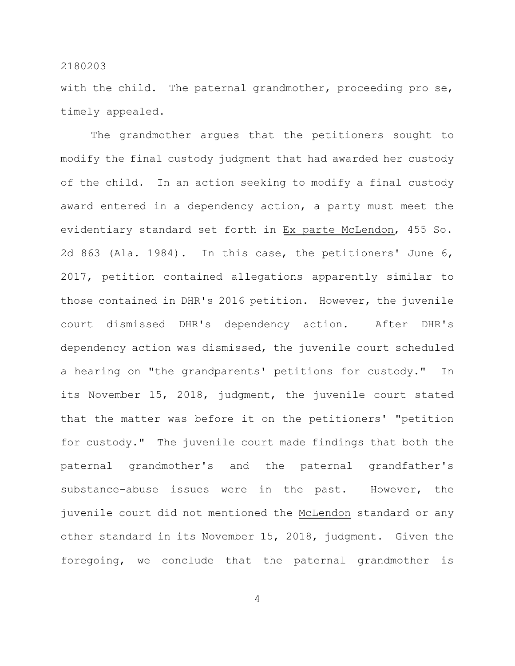with the child. The paternal grandmother, proceeding pro se, timely appealed.

The grandmother argues that the petitioners sought to modify the final custody judgment that had awarded her custody of the child. In an action seeking to modify a final custody award entered in a dependency action, a party must meet the evidentiary standard set forth in Ex parte McLendon, 455 So. 2d 863 (Ala. 1984). In this case, the petitioners' June 6, 2017, petition contained allegations apparently similar to those contained in DHR's 2016 petition. However, the juvenile court dismissed DHR's dependency action. After DHR's dependency action was dismissed, the juvenile court scheduled a hearing on "the grandparents' petitions for custody." In its November 15, 2018, judgment, the juvenile court stated that the matter was before it on the petitioners' "petition for custody." The juvenile court made findings that both the paternal grandmother's and the paternal grandfather's substance-abuse issues were in the past. However, the juvenile court did not mentioned the McLendon standard or any other standard in its November 15, 2018, judgment. Given the foregoing, we conclude that the paternal grandmother is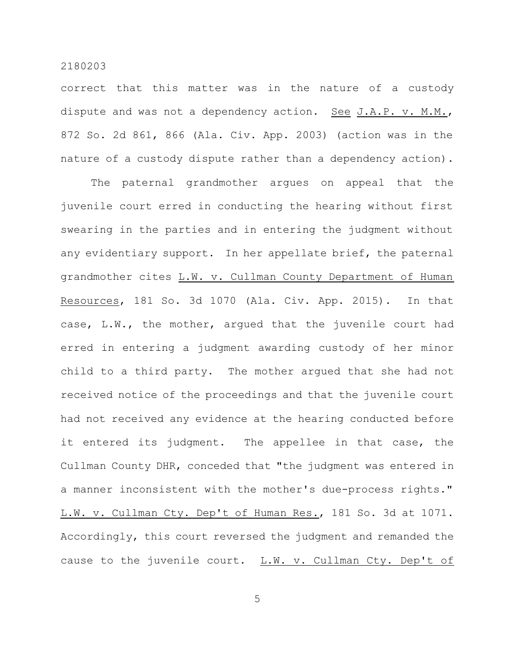correct that this matter was in the nature of a custody dispute and was not a dependency action. See J.A.P. v. M.M., 872 So. 2d 861, 866 (Ala. Civ. App. 2003) (action was in the nature of a custody dispute rather than a dependency action).

The paternal grandmother argues on appeal that the juvenile court erred in conducting the hearing without first swearing in the parties and in entering the judgment without any evidentiary support. In her appellate brief, the paternal grandmother cites L.W. v. Cullman County Department of Human Resources, 181 So. 3d 1070 (Ala. Civ. App. 2015). In that case, L.W., the mother, argued that the juvenile court had erred in entering a judgment awarding custody of her minor child to a third party. The mother argued that she had not received notice of the proceedings and that the juvenile court had not received any evidence at the hearing conducted before it entered its judgment. The appellee in that case, the Cullman County DHR, conceded that "the judgment was entered in a manner inconsistent with the mother's due-process rights." L.W. v. Cullman Cty. Dep't of Human Res., 181 So. 3d at 1071. Accordingly, this court reversed the judgment and remanded the cause to the juvenile court. L.W. v. Cullman Cty. Dep't of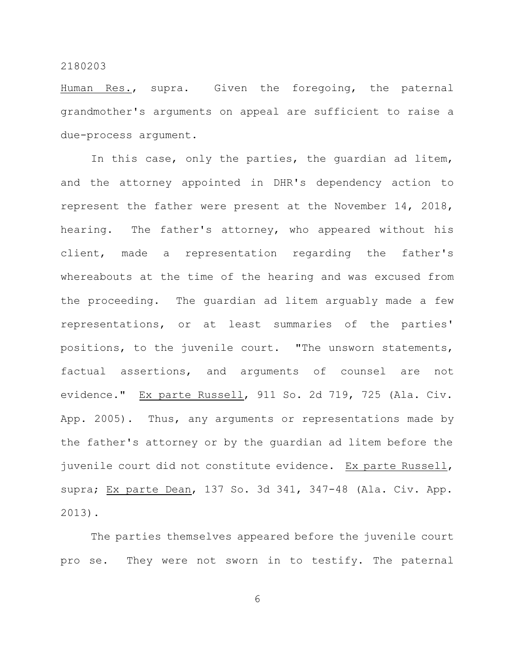Human Res., supra. Given the foregoing, the paternal grandmother's arguments on appeal are sufficient to raise a due-process argument.

In this case, only the parties, the guardian ad litem, and the attorney appointed in DHR's dependency action to represent the father were present at the November 14, 2018, hearing. The father's attorney, who appeared without his client, made a representation regarding the father's whereabouts at the time of the hearing and was excused from the proceeding. The guardian ad litem arguably made a few representations, or at least summaries of the parties' positions, to the juvenile court. "The unsworn statements, factual assertions, and arguments of counsel are not evidence." Ex parte Russell, 911 So. 2d 719, 725 (Ala. Civ. App. 2005). Thus, any arguments or representations made by the father's attorney or by the guardian ad litem before the juvenile court did not constitute evidence. Ex parte Russell, supra; Ex parte Dean, 137 So. 3d 341, 347-48 (Ala. Civ. App. 2013).

The parties themselves appeared before the juvenile court pro se. They were not sworn in to testify. The paternal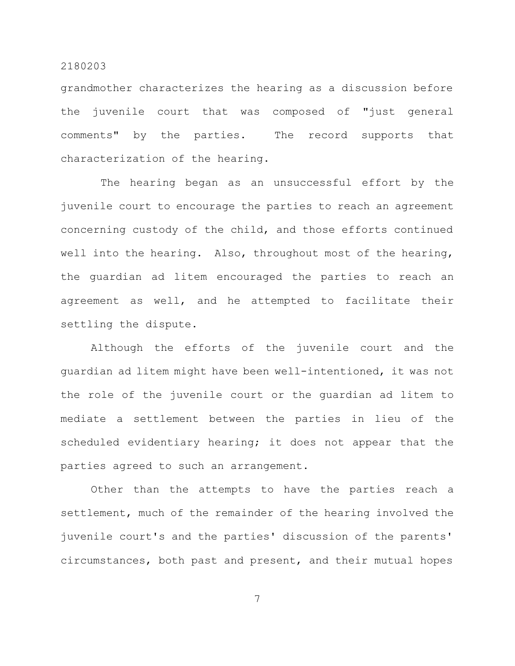grandmother characterizes the hearing as a discussion before the juvenile court that was composed of "just general comments" by the parties. The record supports that characterization of the hearing.

The hearing began as an unsuccessful effort by the juvenile court to encourage the parties to reach an agreement concerning custody of the child, and those efforts continued well into the hearing. Also, throughout most of the hearing, the guardian ad litem encouraged the parties to reach an agreement as well, and he attempted to facilitate their settling the dispute.

Although the efforts of the juvenile court and the guardian ad litem might have been well-intentioned, it was not the role of the juvenile court or the guardian ad litem to mediate a settlement between the parties in lieu of the scheduled evidentiary hearing; it does not appear that the parties agreed to such an arrangement.

Other than the attempts to have the parties reach a settlement, much of the remainder of the hearing involved the juvenile court's and the parties' discussion of the parents' circumstances, both past and present, and their mutual hopes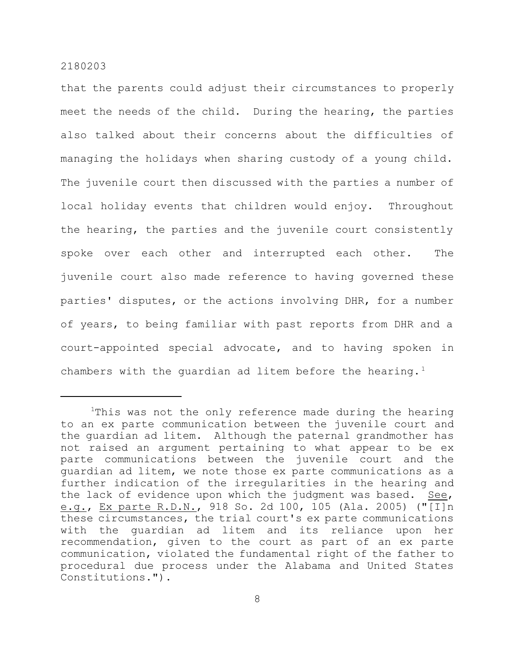that the parents could adjust their circumstances to properly meet the needs of the child. During the hearing, the parties also talked about their concerns about the difficulties of managing the holidays when sharing custody of a young child. The juvenile court then discussed with the parties a number of local holiday events that children would enjoy. Throughout the hearing, the parties and the juvenile court consistently spoke over each other and interrupted each other. The juvenile court also made reference to having governed these parties' disputes, or the actions involving DHR, for a number of years, to being familiar with past reports from DHR and a court-appointed special advocate, and to having spoken in chambers with the quardian ad litem before the hearing.<sup>1</sup>

<sup>&</sup>lt;sup>1</sup>This was not the only reference made during the hearing to an ex parte communication between the juvenile court and the guardian ad litem. Although the paternal grandmother has not raised an argument pertaining to what appear to be ex parte communications between the juvenile court and the guardian ad litem, we note those ex parte communications as a further indication of the irregularities in the hearing and the lack of evidence upon which the judgment was based. See, e.g., Ex parte R.D.N., 918 So. 2d 100, 105 (Ala. 2005) ("[I]n these circumstances, the trial court's ex parte communications with the guardian ad litem and its reliance upon her recommendation, given to the court as part of an ex parte communication, violated the fundamental right of the father to procedural due process under the Alabama and United States Constitutions.").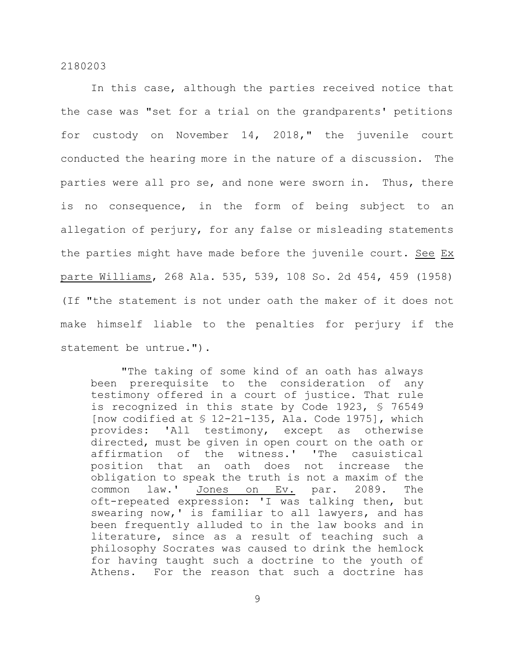In this case, although the parties received notice that the case was "set for a trial on the grandparents' petitions for custody on November 14, 2018," the juvenile court conducted the hearing more in the nature of a discussion. The parties were all pro se, and none were sworn in. Thus, there is no consequence, in the form of being subject to an allegation of perjury, for any false or misleading statements the parties might have made before the juvenile court. See Ex parte Williams, 268 Ala. 535, 539, 108 So. 2d 454, 459 (1958) (If "the statement is not under oath the maker of it does not make himself liable to the penalties for perjury if the statement be untrue.").

"The taking of some kind of an oath has always been prerequisite to the consideration of any testimony offered in a court of justice. That rule is recognized in this state by Code 1923, § 76549 [now codified at  $$$  12-21-135, Ala. Code 1975], which provides: 'All testimony, except as otherwise directed, must be given in open court on the oath or affirmation of the witness.' 'The casuistical position that an oath does not increase the obligation to speak the truth is not a maxim of the common law.' Jones on Ev. par. 2089. The oft-repeated expression: 'I was talking then, but swearing now,' is familiar to all lawyers, and has been frequently alluded to in the law books and in literature, since as a result of teaching such a philosophy Socrates was caused to drink the hemlock for having taught such a doctrine to the youth of Athens. For the reason that such a doctrine has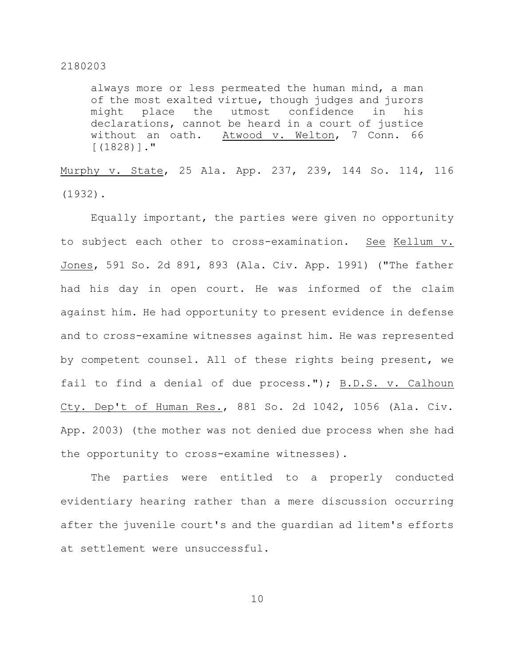always more or less permeated the human mind, a man of the most exalted virtue, though judges and jurors might place the utmost confidence in his declarations, cannot be heard in a court of justice without an oath. Atwood v. Welton, 7 Conn. 66 [(1828)]."

Murphy v. State, 25 Ala. App. 237, 239, 144 So. 114, 116 (1932).

Equally important, the parties were given no opportunity to subject each other to cross-examination. See Kellum v. Jones, 591 So. 2d 891, 893 (Ala. Civ. App. 1991) ("The father had his day in open court. He was informed of the claim against him. He had opportunity to present evidence in defense and to cross-examine witnesses against him. He was represented by competent counsel. All of these rights being present, we fail to find a denial of due process."); B.D.S. v. Calhoun Cty. Dep't of Human Res., 881 So. 2d 1042, 1056 (Ala. Civ. App. 2003) (the mother was not denied due process when she had the opportunity to cross-examine witnesses).

The parties were entitled to a properly conducted evidentiary hearing rather than a mere discussion occurring after the juvenile court's and the guardian ad litem's efforts at settlement were unsuccessful.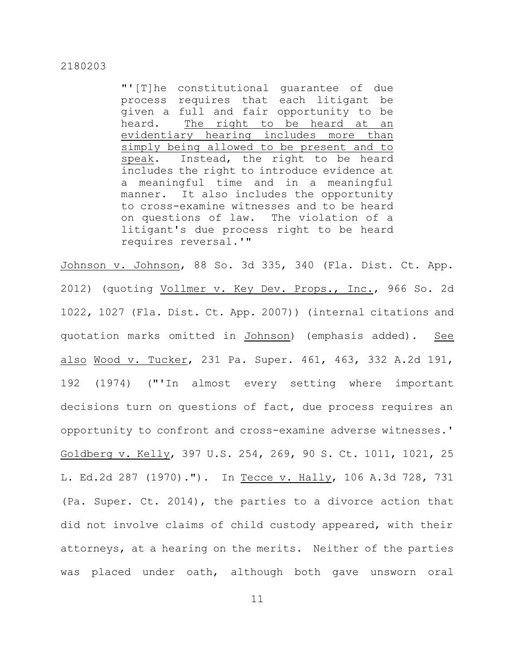"'[T]he constitutional guarantee of due process requires that each litigant be given a full and fair opportunity to be heard. The right to be heard at an evidentiary hearing includes more than simply being allowed to be present and to speak. Instead, the right to be heard includes the right to introduce evidence at a meaningful time and in a meaningful manner. It also includes the opportunity to cross-examine witnesses and to be heard on questions of law. The violation of a litigant's due process right to be heard requires reversal.'"

Johnson v. Johnson, 88 So. 3d 335, 340 (Fla. Dist. Ct. App. 2012) (quoting Vollmer v. Key Dev. Props., Inc., 966 So. 2d 1022, 1027 (Fla. Dist. Ct. App. 2007)) (internal citations and quotation marks omitted in Johnson) (emphasis added). See also Wood v. Tucker, 231 Pa. Super. 461, 463, 332 A.2d 191, 192 (1974) ("'In almost every setting where important decisions turn on questions of fact, due process requires an opportunity to confront and cross-examine adverse witnesses.' Goldberg v. Kelly, 397 U.S. 254, 269, 90 S. Ct. 1011, 1021, 25 L. Ed.2d 287 (1970)."). In Tecce v. Hally, 106 A.3d 728, 731 (Pa. Super. Ct. 2014), the parties to a divorce action that did not involve claims of child custody appeared, with their attorneys, at a hearing on the merits. Neither of the parties was placed under oath, although both gave unsworn oral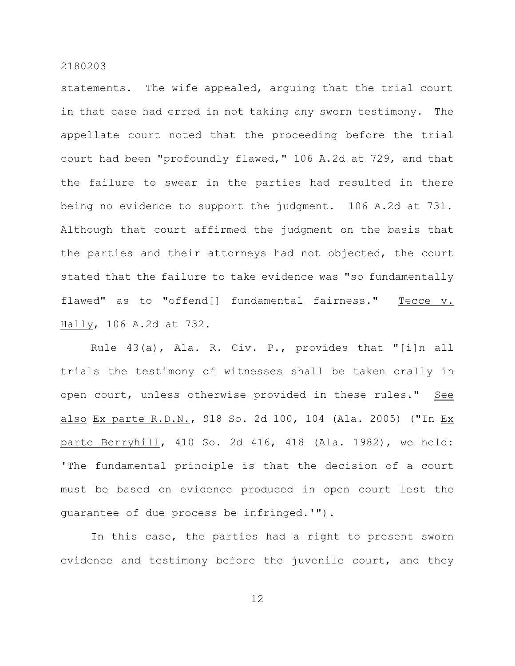statements. The wife appealed, arguing that the trial court in that case had erred in not taking any sworn testimony. The appellate court noted that the proceeding before the trial court had been "profoundly flawed," 106 A.2d at 729, and that the failure to swear in the parties had resulted in there being no evidence to support the judgment. 106 A.2d at 731. Although that court affirmed the judgment on the basis that the parties and their attorneys had not objected, the court stated that the failure to take evidence was "so fundamentally flawed" as to "offend[] fundamental fairness." Tecce v. Hally, 106 A.2d at 732.

Rule 43(a), Ala. R. Civ. P., provides that "[i]n all trials the testimony of witnesses shall be taken orally in open court, unless otherwise provided in these rules." See also Ex parte R.D.N., 918 So. 2d 100, 104 (Ala. 2005) ("In Ex parte Berryhill, 410 So. 2d 416, 418 (Ala. 1982), we held: 'The fundamental principle is that the decision of a court must be based on evidence produced in open court lest the guarantee of due process be infringed.'").

In this case, the parties had a right to present sworn evidence and testimony before the juvenile court, and they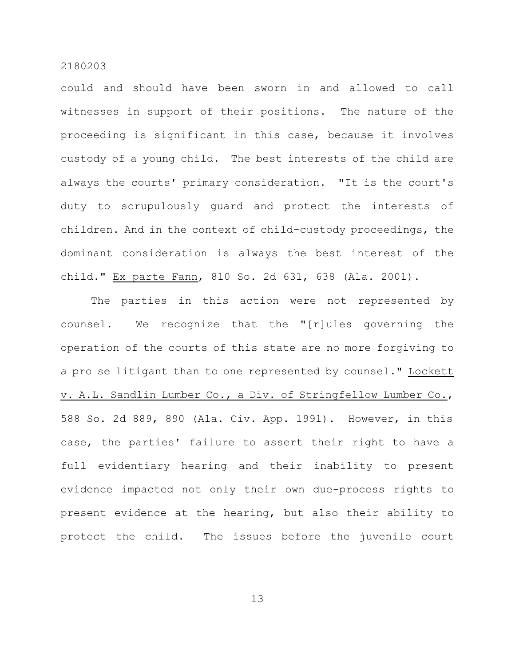could and should have been sworn in and allowed to call witnesses in support of their positions. The nature of the proceeding is significant in this case, because it involves custody of a young child. The best interests of the child are always the courts' primary consideration. "It is the court's duty to scrupulously guard and protect the interests of children. And in the context of child-custody proceedings, the dominant consideration is always the best interest of the child." Ex parte Fann, 810 So. 2d 631, 638 (Ala. 2001).

The parties in this action were not represented by counsel. We recognize that the "[r]ules governing the operation of the courts of this state are no more forgiving to a pro se litigant than to one represented by counsel." Lockett v. A.L. Sandlin Lumber Co., a Div. of Stringfellow Lumber Co., 588 So. 2d 889, 890 (Ala. Civ. App. 1991). However, in this case, the parties' failure to assert their right to have a full evidentiary hearing and their inability to present evidence impacted not only their own due-process rights to present evidence at the hearing, but also their ability to protect the child. The issues before the juvenile court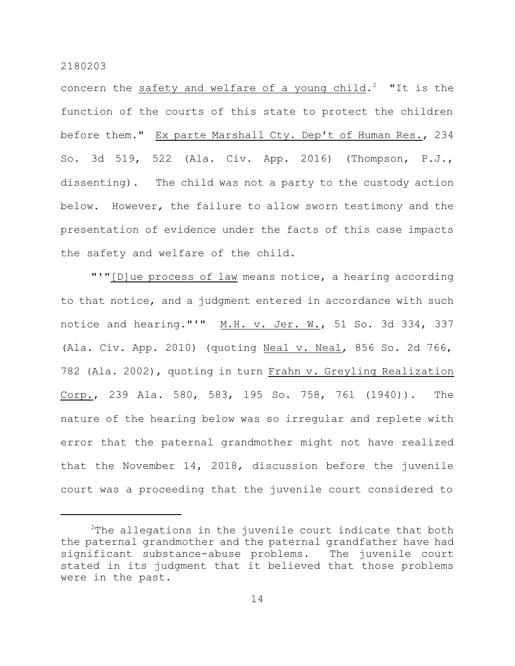concern the safety and welfare of a young child.<sup>2</sup> "It is the function of the courts of this state to protect the children before them." Ex parte Marshall Cty. Dep't of Human Res., 234 So. 3d 519, 522 (Ala. Civ. App. 2016) (Thompson, P.J., dissenting). The child was not a party to the custody action below. However, the failure to allow sworn testimony and the presentation of evidence under the facts of this case impacts the safety and welfare of the child.

"'"[D]ue process of law means notice, a hearing according to that notice, and a judgment entered in accordance with such notice and hearing."'" M.H. v. Jer. W., 51 So. 3d 334, 337 (Ala. Civ. App. 2010) (quoting Neal v. Neal, 856 So. 2d 766, 782 (Ala. 2002), quoting in turn Frahn v. Greyling Realization Corp., 239 Ala. 580, 583, 195 So. 758, 761 (1940)). The nature of the hearing below was so irregular and replete with error that the paternal grandmother might not have realized that the November 14, 2018, discussion before the juvenile court was a proceeding that the juvenile court considered to

 $2$ The allegations in the juvenile court indicate that both the paternal grandmother and the paternal grandfather have had significant substance-abuse problems. The juvenile court stated in its judgment that it believed that those problems were in the past.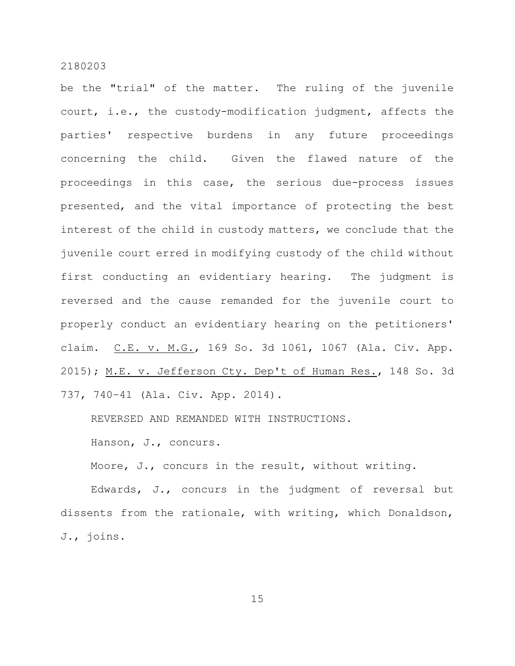be the "trial" of the matter. The ruling of the juvenile court, i.e., the custody-modification judgment, affects the parties' respective burdens in any future proceedings concerning the child. Given the flawed nature of the proceedings in this case, the serious due-process issues presented, and the vital importance of protecting the best interest of the child in custody matters, we conclude that the juvenile court erred in modifying custody of the child without first conducting an evidentiary hearing. The judgment is reversed and the cause remanded for the juvenile court to properly conduct an evidentiary hearing on the petitioners' claim. C.E. v. M.G., 169 So. 3d 1061, 1067 (Ala. Civ. App. 2015); M.E. v. Jefferson Cty. Dep't of Human Res., 148 So. 3d 737, 740–41 (Ala. Civ. App. 2014).

REVERSED AND REMANDED WITH INSTRUCTIONS.

Hanson, J., concurs.

Moore, J., concurs in the result, without writing.

Edwards, J., concurs in the judgment of reversal but dissents from the rationale, with writing, which Donaldson, J., joins.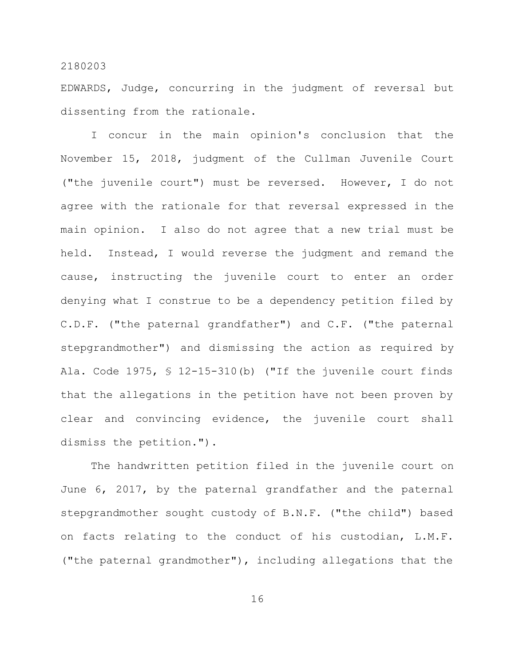EDWARDS, Judge, concurring in the judgment of reversal but dissenting from the rationale.

I concur in the main opinion's conclusion that the November 15, 2018, judgment of the Cullman Juvenile Court ("the juvenile court") must be reversed. However, I do not agree with the rationale for that reversal expressed in the main opinion. I also do not agree that a new trial must be held. Instead, I would reverse the judgment and remand the cause, instructing the juvenile court to enter an order denying what I construe to be a dependency petition filed by C.D.F. ("the paternal grandfather") and C.F. ("the paternal stepgrandmother") and dismissing the action as required by Ala. Code 1975, § 12-15-310(b) ("If the juvenile court finds that the allegations in the petition have not been proven by clear and convincing evidence, the juvenile court shall dismiss the petition.").

The handwritten petition filed in the juvenile court on June 6, 2017, by the paternal grandfather and the paternal stepgrandmother sought custody of B.N.F. ("the child") based on facts relating to the conduct of his custodian, L.M.F. ("the paternal grandmother"), including allegations that the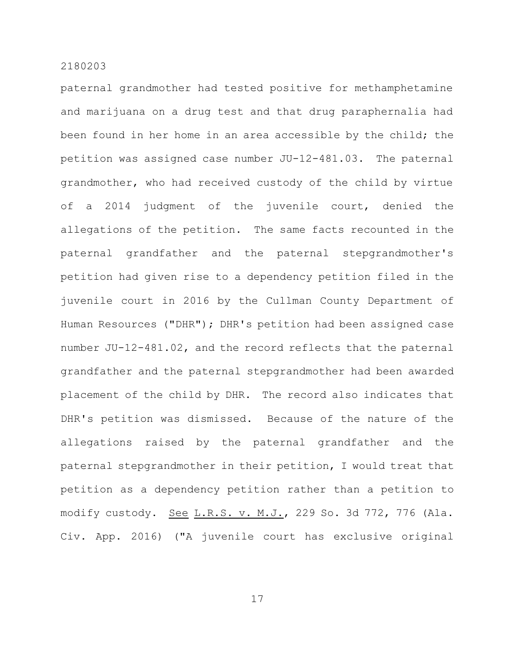paternal grandmother had tested positive for methamphetamine and marijuana on a drug test and that drug paraphernalia had been found in her home in an area accessible by the child; the petition was assigned case number JU-12-481.03. The paternal grandmother, who had received custody of the child by virtue of a 2014 judgment of the juvenile court, denied the allegations of the petition. The same facts recounted in the paternal grandfather and the paternal stepgrandmother's petition had given rise to a dependency petition filed in the juvenile court in 2016 by the Cullman County Department of Human Resources ("DHR"); DHR's petition had been assigned case number JU-12-481.02, and the record reflects that the paternal grandfather and the paternal stepgrandmother had been awarded placement of the child by DHR. The record also indicates that DHR's petition was dismissed. Because of the nature of the allegations raised by the paternal grandfather and the paternal stepgrandmother in their petition, I would treat that petition as a dependency petition rather than a petition to modify custody. See L.R.S. v. M.J., 229 So. 3d 772, 776 (Ala. Civ. App. 2016) ("A juvenile court has exclusive original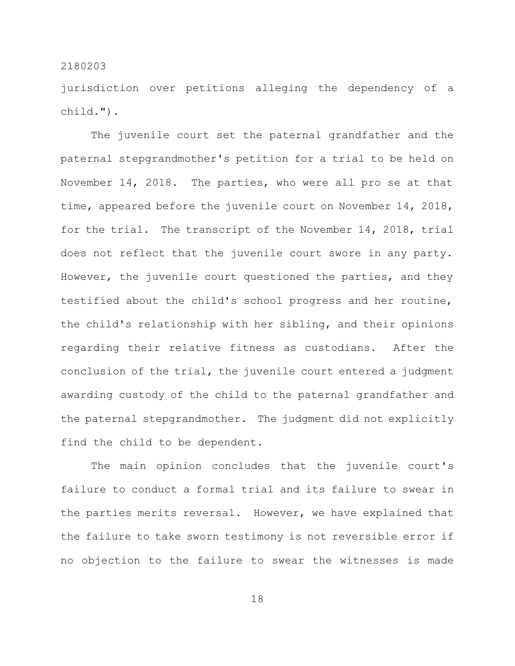jurisdiction over petitions alleging the dependency of a child.").

The juvenile court set the paternal grandfather and the paternal stepgrandmother's petition for a trial to be held on November 14, 2018. The parties, who were all pro se at that time, appeared before the juvenile court on November 14, 2018, for the trial. The transcript of the November 14, 2018, trial does not reflect that the juvenile court swore in any party. However, the juvenile court questioned the parties, and they testified about the child's school progress and her routine, the child's relationship with her sibling, and their opinions regarding their relative fitness as custodians. After the conclusion of the trial, the juvenile court entered a judgment awarding custody of the child to the paternal grandfather and the paternal stepgrandmother. The judgment did not explicitly find the child to be dependent.

The main opinion concludes that the juvenile court's failure to conduct a formal trial and its failure to swear in the parties merits reversal. However, we have explained that the failure to take sworn testimony is not reversible error if no objection to the failure to swear the witnesses is made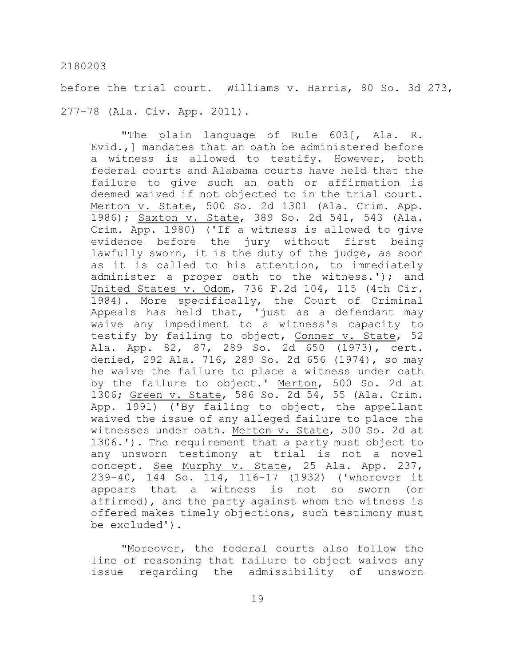before the trial court. Williams v. Harris, 80 So. 3d 273, 277–78 (Ala. Civ. App. 2011).

"The plain language of Rule 603[, Ala. R. Evid.,] mandates that an oath be administered before a witness is allowed to testify. However, both federal courts and Alabama courts have held that the failure to give such an oath or affirmation is deemed waived if not objected to in the trial court. Merton v. State, 500 So. 2d 1301 (Ala. Crim. App. 1986); Saxton v. State, 389 So. 2d 541, 543 (Ala. Crim. App. 1980) ('If a witness is allowed to give evidence before the jury without first being lawfully sworn, it is the duty of the judge, as soon as it is called to his attention, to immediately administer a proper oath to the witness.'); and United States v. Odom, 736 F.2d 104, 115 (4th Cir. 1984). More specifically, the Court of Criminal Appeals has held that, 'just as a defendant may waive any impediment to a witness's capacity to testify by failing to object, Conner v. State, 52 Ala. App. 82, 87, 289 So. 2d 650 (1973), cert. denied, 292 Ala. 716, 289 So. 2d 656 (1974), so may he waive the failure to place a witness under oath by the failure to object.' Merton, 500 So. 2d at 1306; Green v. State, 586 So. 2d 54, 55 (Ala. Crim. App. 1991) ('By failing to object, the appellant waived the issue of any alleged failure to place the witnesses under oath. Merton v. State, 500 So. 2d at 1306.'). The requirement that a party must object to any unsworn testimony at trial is not a novel concept. See Murphy v. State, 25 Ala. App. 237, 239–40, 144 So. 114, 116–17 (1932) ('wherever it appears that a witness is not so sworn (or affirmed), and the party against whom the witness is offered makes timely objections, such testimony must be excluded').

"Moreover, the federal courts also follow the line of reasoning that failure to object waives any issue regarding the admissibility of unsworn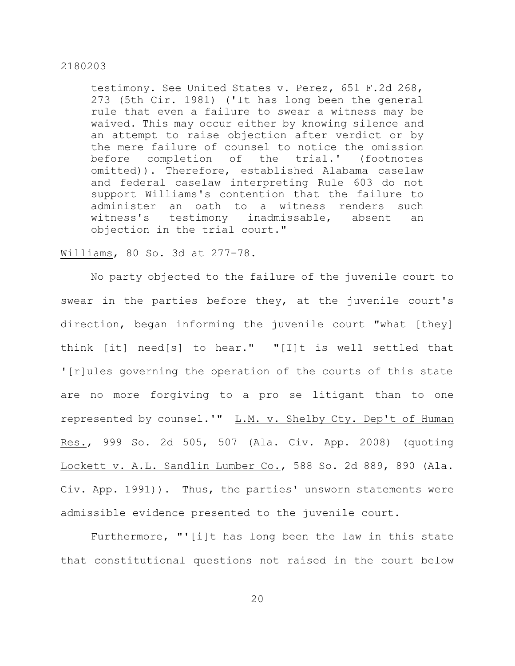testimony. See United States v. Perez, 651 F.2d 268, 273 (5th Cir. 1981) ('It has long been the general rule that even a failure to swear a witness may be waived. This may occur either by knowing silence and an attempt to raise objection after verdict or by the mere failure of counsel to notice the omission before completion of the trial.' (footnotes omitted)). Therefore, established Alabama caselaw and federal caselaw interpreting Rule 603 do not support Williams's contention that the failure to administer an oath to a witness renders such witness's testimony inadmissable, absent an objection in the trial court."

#### Williams, 80 So. 3d at 277–78.

No party objected to the failure of the juvenile court to swear in the parties before they, at the juvenile court's direction, began informing the juvenile court "what [they] think [it] need[s] to hear." "[I]t is well settled that '[r]ules governing the operation of the courts of this state are no more forgiving to a pro se litigant than to one represented by counsel.'" L.M. v. Shelby Cty. Dep't of Human Res., 999 So. 2d 505, 507 (Ala. Civ. App. 2008) (quoting Lockett v. A.L. Sandlin Lumber Co., 588 So. 2d 889, 890 (Ala. Civ. App. 1991)). Thus, the parties' unsworn statements were admissible evidence presented to the juvenile court.

Furthermore, "'[i]t has long been the law in this state that constitutional questions not raised in the court below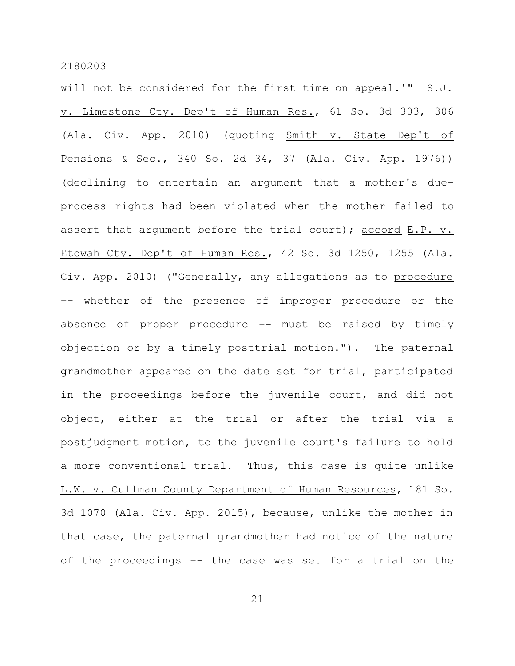will not be considered for the first time on appeal.'" S.J. v. Limestone Cty. Dep't of Human Res., 61 So. 3d 303, 306 (Ala. Civ. App. 2010) (quoting Smith v. State Dep't of Pensions & Sec., 340 So. 2d 34, 37 (Ala. Civ. App. 1976)) (declining to entertain an argument that a mother's dueprocess rights had been violated when the mother failed to assert that argument before the trial court); accord E.P. v. Etowah Cty. Dep't of Human Res., 42 So. 3d 1250, 1255 (Ala. Civ. App. 2010) ("Generally, any allegations as to procedure –- whether of the presence of improper procedure or the absence of proper procedure  $--$  must be raised by timely objection or by a timely posttrial motion."). The paternal grandmother appeared on the date set for trial, participated in the proceedings before the juvenile court, and did not object, either at the trial or after the trial via a postjudgment motion, to the juvenile court's failure to hold a more conventional trial. Thus, this case is quite unlike L.W. v. Cullman County Department of Human Resources, 181 So. 3d 1070 (Ala. Civ. App. 2015), because, unlike the mother in that case, the paternal grandmother had notice of the nature of the proceedings –- the case was set for a trial on the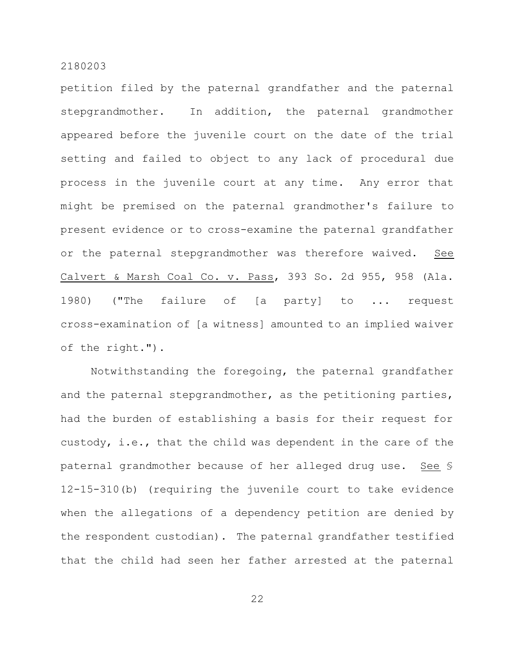petition filed by the paternal grandfather and the paternal stepgrandmother. In addition, the paternal grandmother appeared before the juvenile court on the date of the trial setting and failed to object to any lack of procedural due process in the juvenile court at any time. Any error that might be premised on the paternal grandmother's failure to present evidence or to cross-examine the paternal grandfather or the paternal stepgrandmother was therefore waived. See Calvert & Marsh Coal Co. v. Pass, 393 So. 2d 955, 958 (Ala. 1980) ("The failure of [a party] to ... request cross-examination of [a witness] amounted to an implied waiver of the right.").

Notwithstanding the foregoing, the paternal grandfather and the paternal stepgrandmother, as the petitioning parties, had the burden of establishing a basis for their request for custody, i.e., that the child was dependent in the care of the paternal grandmother because of her alleged drug use. See § 12-15-310(b) (requiring the juvenile court to take evidence when the allegations of a dependency petition are denied by the respondent custodian). The paternal grandfather testified that the child had seen her father arrested at the paternal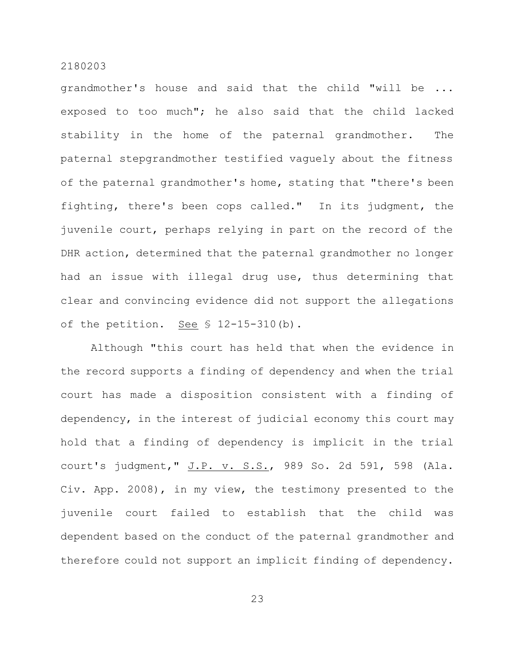grandmother's house and said that the child "will be ... exposed to too much"; he also said that the child lacked stability in the home of the paternal grandmother. The paternal stepgrandmother testified vaguely about the fitness of the paternal grandmother's home, stating that "there's been fighting, there's been cops called." In its judgment, the juvenile court, perhaps relying in part on the record of the DHR action, determined that the paternal grandmother no longer had an issue with illegal drug use, thus determining that clear and convincing evidence did not support the allegations of the petition. See  $$ 12-15-310(b)$ .

Although "this court has held that when the evidence in the record supports a finding of dependency and when the trial court has made a disposition consistent with a finding of dependency, in the interest of judicial economy this court may hold that a finding of dependency is implicit in the trial court's judgment," J.P. v. S.S., 989 So. 2d 591, 598 (Ala. Civ. App. 2008), in my view, the testimony presented to the juvenile court failed to establish that the child was dependent based on the conduct of the paternal grandmother and therefore could not support an implicit finding of dependency.